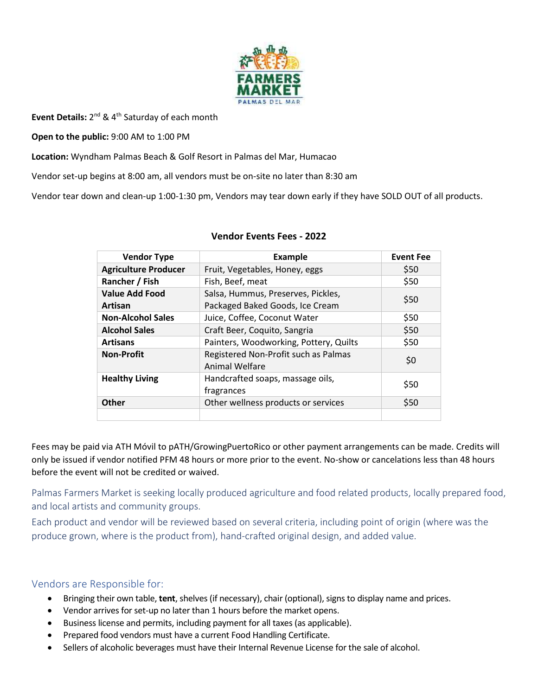

Event Details: 2<sup>nd</sup> & 4<sup>th</sup> Saturday of each month

**Open to the public:** 9:00 AM to 1:00 PM

**Location:** Wyndham Palmas Beach & Golf Resort in Palmas del Mar, Humacao

Vendor set-up begins at 8:00 am, all vendors must be on-site no later than 8:30 am

Vendor tear down and clean-up 1:00-1:30 pm, Vendors may tear down early if they have SOLD OUT of all products.

| <b>Vendor Type</b>          | <b>Example</b>                                         | <b>Event Fee</b> |
|-----------------------------|--------------------------------------------------------|------------------|
| <b>Agriculture Producer</b> | Fruit, Vegetables, Honey, eggs                         | \$50             |
| Rancher / Fish              | Fish, Beef, meat                                       | \$50             |
| <b>Value Add Food</b>       | Salsa, Hummus, Preserves, Pickles,                     | \$50             |
| Artisan                     | Packaged Baked Goods, Ice Cream                        |                  |
| <b>Non-Alcohol Sales</b>    | Juice, Coffee, Coconut Water                           | \$50             |
| <b>Alcohol Sales</b>        | Craft Beer, Coquito, Sangria                           | \$50             |
| <b>Artisans</b>             | Painters, Woodworking, Pottery, Quilts                 | \$50             |
| <b>Non-Profit</b>           | Registered Non-Profit such as Palmas<br>Animal Welfare | \$0              |
| <b>Healthy Living</b>       | Handcrafted soaps, massage oils,<br>fragrances         | \$50             |
| <b>Other</b>                | Other wellness products or services                    | \$50             |
|                             |                                                        |                  |

#### **Vendor Events Fees - 2022**

Fees may be paid via ATH Móvil to pATH/GrowingPuertoRico or other payment arrangements can be made. Credits will only be issued if vendor notified PFM 48 hours or more prior to the event. No-show or cancelations less than 48 hours before the event will not be credited or waived.

Palmas Farmers Market is seeking locally produced agriculture and food related products, locally prepared food, and local artists and community groups.

Each product and vendor will be reviewed based on several criteria, including point of origin (where was the produce grown, where is the product from), hand-crafted original design, and added value.

### Vendors are Responsible for:

- Bringing their own table, **tent**, shelves (if necessary), chair (optional), signs to display name and prices.
- Vendor arrives for set-up no later than 1 hours before the market opens.
- Business license and permits, including payment for all taxes (as applicable).
- Prepared food vendors must have a current Food Handling Certificate.
- Sellers of alcoholic beverages must have their Internal Revenue License for the sale of alcohol.